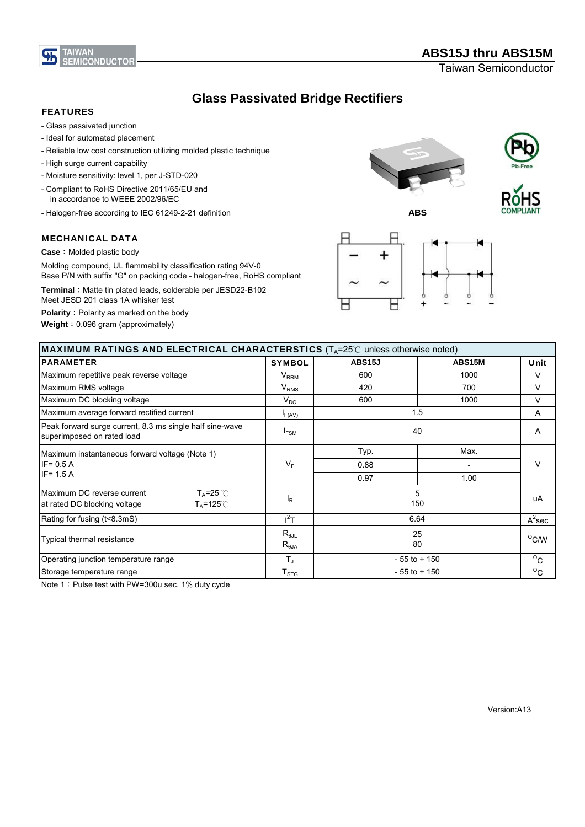

Taiwan Semiconductor

# **Glass Passivated Bridge Rectifiers**

## FEATURES

- Glass passivated junction
- Ideal for automated placement
- Reliable low cost construction utilizing molded plastic technique
- High surge current capability
- Moisture sensitivity: level 1, per J-STD-020
- Compliant to RoHS Directive 2011/65/EU and in accordance to WEEE 2002/96/EC
- Halogen-free according to IEC 61249-2-21 definition

### MECHANICAL DATA

**Case**: Molded plastic body

Molding compound, UL flammability classification rating 94V-0 Base P/N with suffix "G" on packing code - halogen-free, RoHS compliant

Terminal: Matte tin plated leads, solderable per JESD22-B102 Meet JESD 201 class 1A whisker test

**Polarity**: Polarity as marked on the body

**Weight**:0.096 gram (approximately)



**ABS**







| <b>MAXIMUM RATINGS AND ELECTRICAL CHARACTERSTICS</b> ( $T_A$ =25°C unless otherwise noted)                |                                   |                                |               |                |
|-----------------------------------------------------------------------------------------------------------|-----------------------------------|--------------------------------|---------------|----------------|
| <b>PARAMETER</b>                                                                                          | <b>SYMBOL</b>                     | <b>ABS15J</b>                  | <b>ABS15M</b> | Unit           |
| Maximum repetitive peak reverse voltage                                                                   | $\mathsf{V}_{\mathsf{RRM}}$       | 600                            | 1000          | V              |
| Maximum RMS voltage                                                                                       | $V_{RMS}$                         | 420                            | 700           | V              |
| Maximum DC blocking voltage                                                                               | $V_{DC}$                          | 600                            | 1000          | V              |
| Maximum average forward rectified current                                                                 | $I_{F(AV)}$                       | 1.5                            |               | A              |
| Peak forward surge current, 8.3 ms single half sine-wave<br>superimposed on rated load                    | $I_{FSM}$                         | 40                             |               | A              |
| Maximum instantaneous forward voltage (Note 1)                                                            | $V_F$                             | Typ.                           | Max.          |                |
| $IF = 0.5 A$                                                                                              |                                   | 0.88                           |               | V              |
| $IF = 1.5 A$                                                                                              |                                   | 0.97                           | 1.00          |                |
| $T_A = 25$ °C<br>Maximum DC reverse current<br>$T_A = 125^\circ \text{C}$<br>at rated DC blocking voltage | $I_R$                             | 5<br>150                       |               | uA             |
| Rating for fusing (t<8.3mS)                                                                               | $I^2T$                            | 6.64                           |               | $A^2$ sec      |
| Typical thermal resistance                                                                                | $R_{\theta JL}$<br>$R_{\theta$ JA | 25<br>80                       |               | $^{\circ}$ C/W |
| Operating junction temperature range                                                                      | $T_{\text{J}}$                    | $\rm ^{O}C$<br>$-55$ to $+150$ |               |                |
| Storage temperature range                                                                                 | ${\sf T}_{\text{STG}}$            | $-55$ to $+150$                |               | $\rm ^{O}C$    |

Note 1: Pulse test with PW=300u sec, 1% duty cycle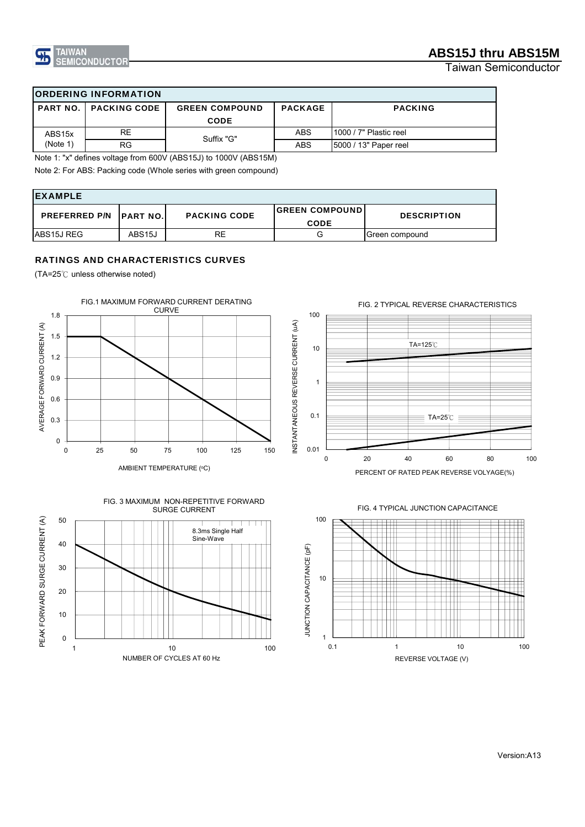

Taiwan Semiconductor

## ORDERING INFORMATION

| I PART NO.          | <b>PACKING CODE</b> | <b>GREEN COMPOUND</b> | <b>PACKAGE</b> | <b>PACKING</b>          |
|---------------------|---------------------|-----------------------|----------------|-------------------------|
|                     |                     | <b>CODE</b>           |                |                         |
| ABS <sub>15</sub> x | RE                  | Suffix "G"            | ABS            | 11000 / 7" Plastic reel |
| (Note 1)            | RG                  |                       | <b>ABS</b>     | [5000 / 13" Paper reel  |

Note 1: "x" defines voltage from 600V (ABS15J) to 1000V (ABS15M)

Note 2: For ABS: Packing code (Whole series with green compound)

| <b>IEXAMPLE</b>                |                     |                     |                                      |                    |  |
|--------------------------------|---------------------|---------------------|--------------------------------------|--------------------|--|
| <b>PREFERRED P/N PART NO.I</b> |                     | <b>PACKING CODE</b> | <b>GREEN COMPOUND</b><br><b>CODE</b> | <b>DESCRIPTION</b> |  |
| ABS15J REG                     | ABS <sub>15</sub> J | RE                  | G                                    | Green compound     |  |

### RATINGS AND CHARACTERISTICS CURVES

(TA=25℃ unless otherwise noted)







PERCENT OF RATED PEAK REVERSE VOLYAGE(%)



#### FIG. 4 TYPICAL JUNCTION CAPACITANCE